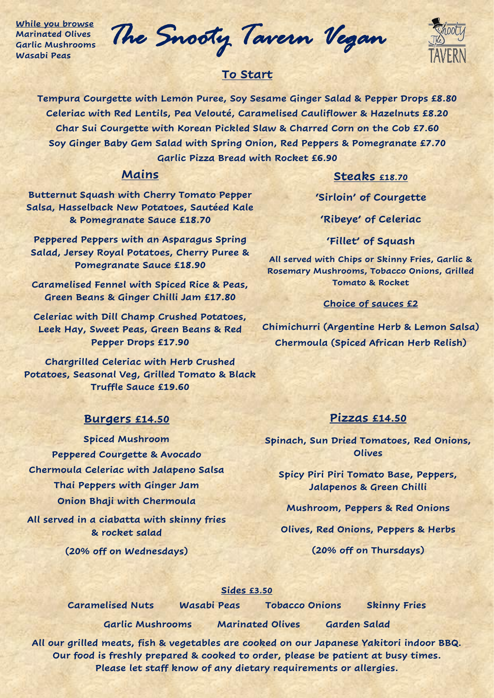**While you browse Marinated Olives Garlic Mushrooms Wasabi Peas**

*The Snooty Tavern Vegan* 



# **To Start**

**Tempura Courgette with Lemon Puree, Soy Sesame Ginger Salad & Pepper Drops £8.80 Celeriac with Red Lentils, Pea Velouté, Caramelised Cauliflower & Hazelnuts £8.20 Char Sui Courgette with Korean Pickled Slaw & Charred Corn on the Cob £7.60 Soy Ginger Baby Gem Salad with Spring Onion, Red Peppers & Pomegranate £7.70 Garlic Pizza Bread with Rocket £6.90**

# **Mains**

# **Steaks £18.70**

**Butternut Squash with Cherry Tomato Pepper Salsa, Hasselback New Potatoes, Sautéed Kale & Pomegranate Sauce £18.70**

**Peppered Peppers with an Asparagus Spring Salad, Jersey Royal Potatoes, Cherry Puree & Pomegranate Sauce £18.90**

**Caramelised Fennel with Spiced Rice & Peas, Green Beans & Ginger Chilli Jam £17.80**

**Celeriac with Dill Champ Crushed Potatoes, Leek Hay, Sweet Peas, Green Beans & Red Pepper Drops £17.90**

**Chargrilled Celeriac with Herb Crushed Potatoes, Seasonal Veg, Grilled Tomato & Black Truffle Sauce £19.60**

### **Burgers £14.50**

**Spiced Mushroom Peppered Courgette & Avocado Chermoula Celeriac with Jalapeno Salsa Thai Peppers with Ginger Jam Onion Bhaji with Chermoula**

**All served in a ciabatta with skinny fries & rocket salad**

**(20% off on Wednesdays)**

**'Sirloin' of Courgette**

**'Ribeye' of Celeriac**

**'Fillet' of Squash**

**All served with Chips or Skinny Fries, Garlic & Rosemary Mushrooms, Tobacco Onions, Grilled Tomato & Rocket**

#### **Choice of sauces £2**

**Chimichurri (Argentine Herb & Lemon Salsa) Chermoula (Spiced African Herb Relish)** 

### **Pizzas £14.50**

**Spinach, Sun Dried Tomatoes, Red Onions, Olives** 

**Spicy Piri Piri Tomato Base, Peppers, Jalapenos & Green Chilli**

**Mushroom, Peppers & Red Onions**

**Olives, Red Onions, Peppers & Herbs**

**(20% off on Thursdays)**

#### **Sides £3.50**

**Caramelised Nuts Wasabi Peas Tobacco Onions Skinny Fries**

**Garlic Mushrooms Marinated Olives Garden Salad**

**All our grilled meats, fish & vegetables are cooked on our Japanese Yakitori indoor BBQ. Our food is freshly prepared & cooked to order, please be patient at busy times. Please let staff know of any dietary requirements or allergies.**